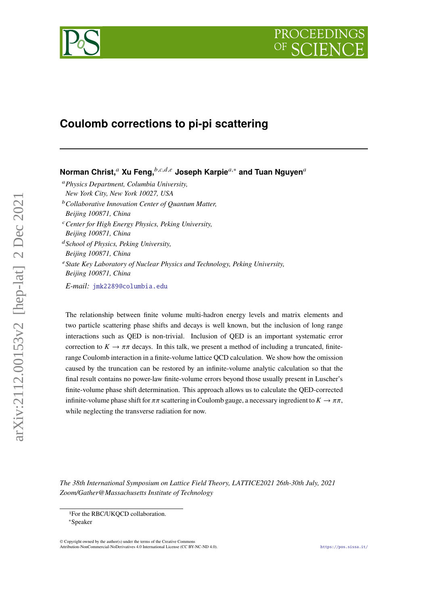



# **Coulomb corrections to pi-pi scattering**

**Norman Christ,<sup>a</sup> Xu Feng,** *b,c,d,e* **Joseph Karpie<sup>a,∗</sup> and Tuan Nguyen<sup>a</sup>** 

*Physics Department, Columbia University, New York City, New York 10027, USA Collaborative Innovation Center of Quantum Matter, Beijing 100871, China Center for High Energy Physics, Peking University,*

*Beijing 100871, China*

- *School of Physics, Peking University, Beijing 100871, China*
- <sup>e</sup> State Key Laboratory of Nuclear Physics and Technology, Peking University, *Beijing 100871, China*

*E-mail:* [jmk2289@columbia.edu](mailto:jmk2289@columbia.edu)

The relationship between finite volume multi-hadron energy levels and matrix elements and two particle scattering phase shifts and decays is well known, but the inclusion of long range interactions such as QED is non-trivial. Inclusion of QED is an important systematic error correction to  $K \to \pi \pi$  decays. In this talk, we present a method of including a truncated, finiterange Coulomb interaction in a finite-volume lattice QCD calculation. We show how the omission caused by the truncation can be restored by an infinite-volume analytic calculation so that the final result contains no power-law finite-volume errors beyond those usually present in Luscher's finite-volume phase shift determination. This approach allows us to calculate the QED-corrected infinite-volume phase shift for  $\pi\pi$  scattering in Coulomb gauge, a necessary ingredient to  $K \to \pi\pi$ , while neglecting the transverse radiation for now.

*The 38th International Symposium on Lattice Field Theory, LATTICE2021 26th-30th July, 2021 Zoom/Gather@Massachusetts Institute of Technology*

© Copyright owned by the author(s) under the terms of the Creative Commons Attribution-NonCommercial-NoDerivatives 4.0 International License (CC BY-NC-ND 4.0). <https://pos.sissa.it/>

 $arXiv:2112.00153v2$  [hep-lat] 2 Dec 2021

<sup>1</sup>For the RBC/UKQCD collaboration.

<sup>∗</sup>Speaker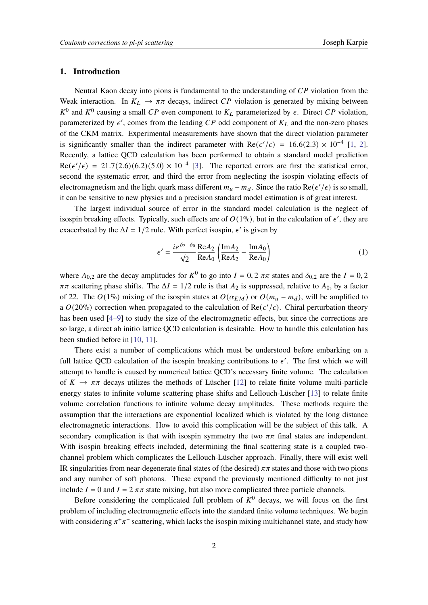### **1. Introduction**

Neutral Kaon decay into pions is fundamental to the understanding of  $\overline{CP}$  violation from the Weak interaction. In  $K_L \rightarrow \pi \pi$  decays, indirect CP violation is generated by mixing between  $K^0$  and  $\bar{K^0}$  causing a small CP even component to  $K_L$  parameterized by  $\epsilon$ . Direct CP violation, parameterized by  $\epsilon'$ , comes from the leading CP odd component of  $K_L$  and the non-zero phases of the CKM matrix. Experimental measurements have shown that the direct violation parameter is significantly smaller than the indirect parameter with  $\text{Re}(\epsilon'/\epsilon) = 16.6(2.3) \times 10^{-4}$  [\[1,](#page-7-0) [2\]](#page-7-1). Recently, a lattice QCD calculation has been performed to obtain a standard model prediction  $Re(\epsilon'/\epsilon) = 21.7(2.6)(6.2)(5.0) \times 10^{-4}$  [\[3\]](#page-7-2). The reported errors are first the statistical error, second the systematic error, and third the error from neglecting the isospin violating effects of electromagnetism and the light quark mass different  $m_u - m_d$ . Since the ratio Re( $\epsilon'/\epsilon$ ) is so small, it can be sensitive to new physics and a precision standard model estimation is of great interest.

The largest individual source of error in the standard model calculation is the neglect of isospin breaking effects. Typically, such effects are of  $O(1\%)$ , but in the calculation of  $\epsilon'$ , they are exacerbated by the  $\Delta I = 1/2$  rule. With perfect isospin,  $\epsilon'$  is given by

$$
\epsilon' = \frac{ie^{\delta_2 - \delta_0} \text{Re} A_2}{\sqrt{2}} \left( \frac{\text{Im} A_2}{\text{Re} A_2} - \frac{\text{Im} A_0}{\text{Re} A_0} \right)
$$
(1)

where  $A_{0,2}$  are the decay amplitudes for  $K^0$  to go into  $I = 0, 2 \pi \pi$  states and  $\delta_{0,2}$  are the  $I = 0, 2$  $\pi\pi$  scattering phase shifts. The  $\Delta I = 1/2$  rule is that  $A_2$  is suppressed, relative to  $A_0$ , by a factor of 22. The  $O(1\%)$  mixing of the isospin states at  $O(\alpha_{EM})$  or  $O(m_u - m_d)$ , will be amplified to a  $O(20\%)$  correction when propagated to the calculation of  $\text{Re}(\epsilon'/\epsilon)$ . Chiral perturbation theory has been used [\[4](#page-7-3)[–9\]](#page-8-0) to study the size of the electromagnetic effects, but since the corrections are so large, a direct ab initio lattice QCD calculation is desirable. How to handle this calculation has been studied before in [\[10,](#page-8-1) [11\]](#page-8-2).

There exist a number of complications which must be understood before embarking on a full lattice QCD calculation of the isospin breaking contributions to  $\epsilon'$ . The first which we will attempt to handle is caused by numerical lattice QCD's necessary finite volume. The calculation of  $K \to \pi \pi$  decays utilizes the methods of Lüscher [\[12\]](#page-8-3) to relate finite volume multi-particle energy states to infinite volume scattering phase shifts and Lellouch-Lüscher [\[13\]](#page-8-4) to relate finite volume correlation functions to infinite volume decay amplitudes. These methods require the assumption that the interactions are exponential localized which is violated by the long distance electromagnetic interactions. How to avoid this complication will be the subject of this talk. A secondary complication is that with isospin symmetry the two  $\pi\pi$  final states are independent. With isospin breaking effects included, determining the final scattering state is a coupled twochannel problem which complicates the Lellouch-Lüscher approach. Finally, there will exist well IR singularities from near-degenerate final states of (the desired)  $\pi\pi$  states and those with two pions and any number of soft photons. These expand the previously mentioned difficulty to not just include  $I = 0$  and  $I = 2 \pi \pi$  state mixing, but also more complicated three particle channels.

Before considering the complicated full problem of  $K^0$  decays, we will focus on the first problem of including electromagnetic effects into the standard finite volume techniques. We begin with considering  $\pi^+\pi^+$  scattering, which lacks the isospin mixing multichannel state, and study how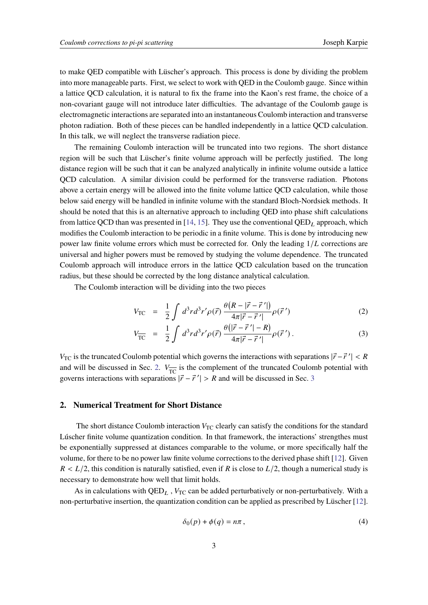to make QED compatible with Lüscher's approach. This process is done by dividing the problem into more manageable parts. First, we select to work with QED in the Coulomb gauge. Since within a lattice QCD calculation, it is natural to fix the frame into the Kaon's rest frame, the choice of a non-covariant gauge will not introduce later difficulties. The advantage of the Coulomb gauge is electromagnetic interactions are separated into an instantaneous Coulomb interaction and transverse photon radiation. Both of these pieces can be handled independently in a lattice QCD calculation. In this talk, we will neglect the transverse radiation piece.

The remaining Coulomb interaction will be truncated into two regions. The short distance region will be such that Lüscher's finite volume approach will be perfectly justified. The long distance region will be such that it can be analyzed analytically in infinite volume outside a lattice QCD calculation. A similar division could be performed for the transverse radiation. Photons above a certain energy will be allowed into the finite volume lattice QCD calculation, while those below said energy will be handled in infinite volume with the standard Bloch-Nordsiek methods. It should be noted that this is an alternative approach to including QED into phase shift calculations from lattice QCD than was presented in [\[14,](#page-8-5) [15\]](#page-8-6). They use the conventional  $QED<sub>L</sub>$  approach, which modifies the Coulomb interaction to be periodic in a finite volume. This is done by introducing new power law finite volume errors which must be corrected for. Only the leading  $1/L$  corrections are universal and higher powers must be removed by studying the volume dependence. The truncated Coulomb approach will introduce errors in the lattice QCD calculation based on the truncation radius, but these should be corrected by the long distance analytical calculation.

The Coulomb interaction will be dividing into the two pieces

$$
V_{\rm TC} = \frac{1}{2} \int d^3 r d^3 r' \rho(\vec{r}) \frac{\theta(R - |\vec{r} - \vec{r}'|)}{4\pi |\vec{r} - \vec{r}'|} \rho(\vec{r}')
$$
(2)

$$
V_{\overline{\text{TC}}} = \frac{1}{2} \int d^3r d^3r' \rho(\vec{r}) \frac{\theta(|\vec{r} - \vec{r}'| - R)}{4\pi |\vec{r} - \vec{r}'|} \rho(\vec{r}'). \tag{3}
$$

 $V_{\text{TC}}$  is the truncated Coulomb potential which governs the interactions with separations  $|\vec{r} - \vec{r}'| < R$ and will be discussed in Sec. [2.](#page-2-0)  $V_{\overline{TC}}$  is the complement of the truncated Coulomb potential with governs interactions with separations  $|\vec{r} - \vec{r}'| > R$  and will be discussed in Sec. [3](#page-4-0)

## <span id="page-2-0"></span>**2. Numerical Treatment for Short Distance**

The short distance Coulomb interaction  $V_{TC}$  clearly can satisfy the conditions for the standard Lúscher finite volume quantization condition. In that framework, the interactions' strengthes must be exponentially suppressed at distances comparable to the volume, or more specifically half the volume, for there to be no power law finite volume corrections to the derived phase shift [\[12\]](#page-8-3). Given  $R < L/2$ , this condition is naturally satisfied, even if R is close to  $L/2$ , though a numerical study is necessary to demonstrate how well that limit holds.

As in calculations with  $QED<sub>L</sub>$ ,  $V<sub>TC</sub>$  can be added perturbatively or non-perturbatively. With a non-perturbative insertion, the quantization condition can be applied as prescribed by Lüscher [\[12\]](#page-8-3).

$$
\delta_0(p) + \phi(q) = n\pi , \qquad (4)
$$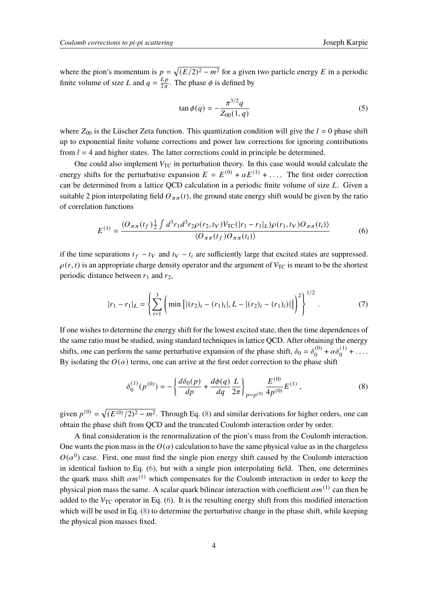$$
\tan \phi(q) = -\frac{\pi^{3/2}q}{Z_{00}(1,q)}\tag{5}
$$

where  $Z_{00}$  is the Lüscher Zeta function. This quantization condition will give the  $l = 0$  phase shift up to exponential finite volume corrections and power law corrections for ignoring contributions from  $l = 4$  and higher states. The latter corrections could in principle be determined.

One could also implement  $V_{TC}$  in perturbation theory. In this case would would calculate the energy shifts for the perturbative expansion  $E = E^{(0)} + \alpha E^{(1)} + \dots$ . The first order correction can be determined from a lattice QCD calculation in a periodic finite volume of size  $L$ . Given a suitable 2 pion interpolating field  $O_{\pi\pi}(t)$ , the ground state energy shift would be given by the ratio of correlation functions

<span id="page-3-1"></span>
$$
E^{(1)} = \frac{\langle O_{\pi\pi}(t_f) \frac{1}{2} \int d^3 r_1 d^3 r_2 \rho(r_2, t_V) V_{\text{TC}}(|r_1 - r_1|_L) \rho(r_1, t_V) O_{\pi\pi}(t_i) \rangle}{\langle O_{\pi\pi}(t_f) O_{\pi\pi}(t_i) \rangle} \tag{6}
$$

if the time separations  $t_f - t_V$  and  $t_V - t_i$  are sufficiently large that excited states are suppressed.  $\rho(r, t)$  is an appropriate charge density operator and the argument of  $V_{TC}$  is meant to be the shortest periodic distance between  $r_1$  and  $r_2$ ,

$$
|r_1 - r_1|_L = \left\{ \sum_{i=1}^3 \left( \min\left[ |(r_2)_i - (r_1)_i|, L - |(r_2)_i - (r_1)_i| \right] \right)^2 \right\}^{1/2}.
$$
 (7)

If one wishes to determine the energy shift for the lowest excited state, then the time dependences of the same ratio must be studied, using standard techniques in lattice QCD. After obtaining the energy shifts, one can perform the same perturbative expansion of the phase shift,  $\delta_0 = \delta_0^{(0)}$  $\alpha \delta_0^{(1)} + \alpha \delta_0^{(1)} + \ldots$ By isolating the  $O(\alpha)$  terms, one can arrive at the first order correction to the phase shift

<span id="page-3-0"></span>
$$
\delta_0^{(1)}(p^{(0)}) = -\left\{ \frac{d\delta_0(p)}{dp} + \frac{d\phi(q)}{dq} \frac{L}{2\pi} \right\}_{p=p^{(0)}} \frac{E^{(0)}}{4p^{(0)}} E^{(1)},\tag{8}
$$

given  $p^{(0)} = \sqrt{(E^{(0)}/2)^2 - m^2}$ . Through Eq. [\(8\)](#page-3-0) and similar derivations for higher orders, one can obtain the phase shift from QCD and the truncated Coulomb interaction order by order.

A final consideration is the renormalization of the pion's mass from the Coulomb interaction. One wants the pion mass in the  $O(\alpha)$  calculation to have the same physical value as in the chargeless  $O(\alpha^0)$  case. First, one must find the single pion energy shift caused by the Coulomb interaction in identical fashion to Eq. [\(6\)](#page-3-1), but with a single pion interpolating field. Then, one determines the quark mass shift  $\alpha m^{(1)}$  which compensates for the Coulomb interaction in order to keep the physical pion mass the same. A scalar quark bilinear interaction with coefficient  $\alpha m^{(1)}$  can then be added to the  $V_{TC}$  operator in Eq. [\(6\)](#page-3-1). It is the resulting energy shift from this modified interaction which will be used in Eq. [\(8\)](#page-3-0) to determine the perturbative change in the phase shift, while keeping the physical pion masses fixed.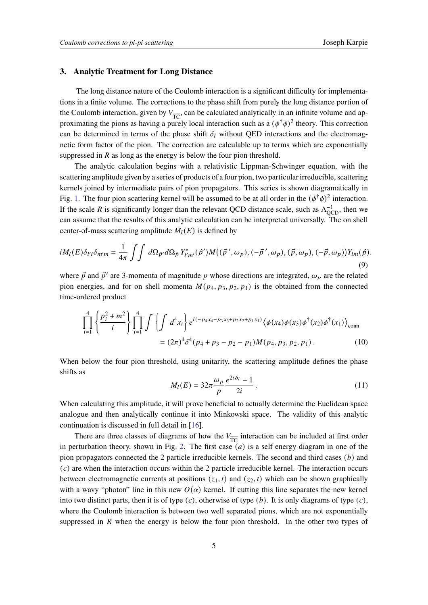#### <span id="page-4-0"></span>**3. Analytic Treatment for Long Distance**

The long distance nature of the Coulomb interaction is a significant difficulty for implementations in a finite volume. The corrections to the phase shift from purely the long distance portion of the Coulomb interaction, given by  $V_{\overline{TC}}$ , can be calculated analytically in an infinite volume and approximating the pions as having a purely local interaction such as a  $(\phi^{\dagger} \phi)^2$  theory. This correction can be determined in terms of the phase shift  $\delta_l$  without QED interactions and the electromagnetic form factor of the pion. The correction are calculable up to terms which are exponentially suppressed in  $R$  as long as the energy is below the four pion threshold.

The analytic calculation begins with a relativistic Lippman-Schwinger equation, with the scattering amplitude given by a series of products of a four pion, two particular irreducible, scattering kernels joined by intermediate pairs of pion propagators. This series is shown diagramatically in Fig. [1.](#page-5-0) The four pion scattering kernel will be assumed to be at all order in the  $(\phi^{\dagger} \phi)^2$  interaction. If the scale R is significantly longer than the relevant QCD distance scale, such as  $\Lambda_{\text{QCD}}^{-1}$ , then we can assume that the results of this analytic calculation can be interpreted universally. The on shell center-of-mass scattering amplitude  $M_l(E)$  is defined by

$$
iM_l(E)\delta_{l'l}\delta_{m'm} = \frac{1}{4\pi} \int \int d\Omega_{\hat{p}'} d\Omega_{\hat{p}} Y^*_{l'm'}(\hat{p}')M((\vec{p}',\omega_p),(-\vec{p}',\omega_p),(\vec{p},\omega_p),(-\vec{p},\omega_p))Y_{lm}(\hat{p}).
$$
\n(9)

where  $\vec{p}$  and  $\vec{p}'$  are 3-momenta of magnitude p whose directions are integrated,  $\omega_p$  are the related pion energies, and for on shell momenta  $M(p_4, p_3, p_2, p_1)$  is the obtained from the connected time-ordered product

$$
\prod_{i=1}^{4} \left\{ \frac{p_i^2 + m^2}{i} \right\} \prod_{i=1}^{4} \int \left\{ \int d^4 x_i \right\} e^{i(-p_4 x_4 - p_3 x_3 + p_2 x_2 + p_1 x_1)} \langle \phi(x_4) \phi(x_3) \phi^{\dagger}(x_2) \phi^{\dagger}(x_1) \rangle_{\text{conn}}
$$
  
=  $(2\pi)^4 \delta^4 (p_4 + p_3 - p_2 - p_1) M(p_4, p_3, p_2, p_1)$ . (10)

When below the four pion threshold, using unitarity, the scattering amplitude defines the phase shifts as

$$
M_l(E) = 32\pi \frac{\omega_p}{p} \frac{e^{2i\delta_l} - 1}{2i} \,. \tag{11}
$$

When calculating this amplitude, it will prove beneficial to actually determine the Euclidean space analogue and then analytically continue it into Minkowski space. The validity of this analytic continuation is discussed in full detail in [\[16\]](#page-8-7).

There are three classes of diagrams of how the  $V_{\overline{TC}}$  interaction can be included at first order in perturbation theory, shown in Fig. [2.](#page-5-1) The first case  $(a)$  is a self energy diagram in one of the pion propagators connected the 2 particle irreducible kernels. The second and third cases  $(b)$  and  $(c)$  are when the interaction occurs within the 2 particle irreducible kernel. The interaction occurs between electromagnetic currents at positions  $(z_1, t)$  and  $(z_2, t)$  which can be shown graphically with a wavy "photon" line in this new  $O(\alpha)$  kernel. If cutting this line separates the new kernel into two distinct parts, then it is of type  $(c)$ , otherwise of type  $(b)$ . It is only diagrams of type  $(c)$ , where the Coulomb interaction is between two well separated pions, which are not exponentially suppressed in  $R$  when the energy is below the four pion threshold. In the other two types of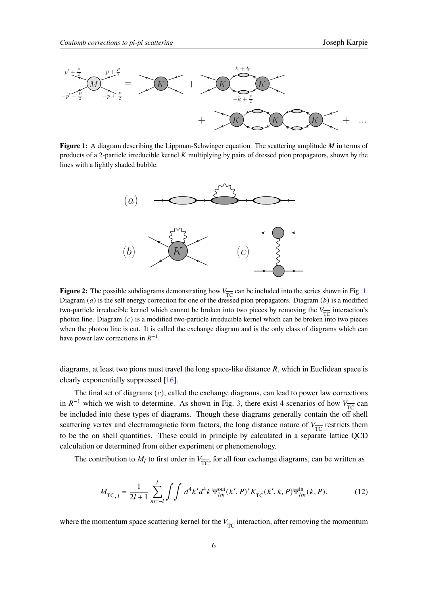<span id="page-5-0"></span>

<span id="page-5-1"></span>lines with a lightly shaded bubble. Figure 1: A diagram describing the Lippman-Schwinger equation. The scattering amplitude M in terms of products of a 2-particle irreducible kernel  $K$  multiplying by pairs of dressed pion propagators, shown by the quation. The scattering amplitude  $M$  in terms of



 $\mathbf{P}_{\text{TC}}$  because the self energy correction for one of the dressed pion propagators. Diagram (b) is a modified Diagram (a) is the self energy correction for one of the dressed pion propagators. Diagram (b) is a modif **Figure 2:** The possible subdiagrams demonstrating how  $V_{\overline{TC}}$  can be included into the series shown in Fig. [1.](#page-5-0) two-particle irreducible kernel which cannot be broken into two pieces by removing the  $V_{\overline{IC}}$  interaction's<br>whaten line. Diagram (c) is a madified turn particle interactivity learned which are hadren into two pieces when the photon line is cut. It is called the exchange diagram and is the only class of diagrams which can photon line. Diagram  $(c)$  is a modified two-particle irreducible kernel which can be broken into two pieces have power law corrections in  $R^{-1}$ .

diagrams, at least two pions must travel the long space-like distance  $R$ , which in Euclidean space is clearly exponentially suppressed [\[16\]](#page-8-7).

The final set of diagrams  $(c)$ , called the exchange diagrams, can lead to power law corrections in  $R^{-1}$  which we wish to determine. As shown in Fig. [3,](#page-6-0) there exist 4 scenarios of how  $V_{\overline{TC}}$  can be included into these types of diagrams. Though these diagrams generally contain the off shell scattering vertex and electromagnetic form factors, the long distance nature of  $V_{\overline{TC}}$  restricts them to be the on shell quantities. These could in principle by calculated in a separate lattice QCD calculation or determined from either experiment or phenomenology.

The contribution to  $M_l$  to first order in  $V_{\overline{TC}}$ , for all four exchange diagrams, can be written as

<span id="page-5-2"></span>
$$
M_{\overline{TC},l} = \frac{1}{2l+1} \sum_{m=-l}^{l} \int \int d^4k' d^4k \, \Psi_{lm}^{\text{out}}(k',P)^* K_{\overline{TC}}(k',k,P) \Psi_{lm}^{\text{in}}(k,P). \tag{12}
$$

where the momentum space scattering kernel for the  $V_{\overline{TC}}$  interaction, after removing the momentum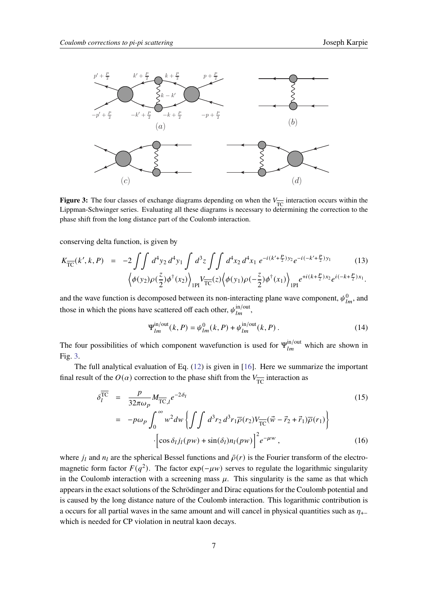<span id="page-6-0"></span>

**Figure 3:** The four classes of exchange diagrams depending on when the  $V_{\overline{TC}}$  interaction occurs within the Lippman-Schwinger series. Evaluating all these diagrams is necessary to determining the correction to the phase shift from the long distance part of the Coulomb interaction.

conserving delta function, is given by

$$
K_{\overline{TC}}(k',k,P) = -2 \iint d^4 y_2 d^4 y_1 \int d^3 z \iint d^4 x_2 d^4 x_1 e^{-i(k' + \frac{P}{2})y_2} e^{-i(-k' + \frac{P}{2})y_1}
$$
(13)  

$$
\left\langle \phi(y_2)\rho(\frac{z}{2})\phi^{\dagger}(x_2) \right\rangle_{\text{1PI}} V_{\overline{TC}}(z) \left\langle \phi(y_1)\rho(-\frac{z}{2})\phi^{\dagger}(x_1) \right\rangle_{\text{1PI}} e^{+i(k+\frac{P}{2})x_2} e^{i(-k+\frac{P}{2})x_1}.
$$

 $\sum_{i=1}^{n}$ and the wave function is decomposed between its non-interacting plane wave component,  $\psi_{lm}^0$ , and those in which the pions have scattered off each other,  $\psi_{lm}^{\text{in/out}}$ ,

$$
\Psi_{lm}^{\text{in/out}}(k, P) = \psi_{lm}^0(k, P) + \psi_{lm}^{\text{in/out}}(k, P) \,. \tag{14}
$$

The four possibilities of which component wavefunction is used for  $\Psi_{lm}^{\text{in/out}}$  which are shown in Fig. [3.](#page-6-0)

The full analytical evaluation of Eq. [\(12\)](#page-5-2) is given in [\[16\]](#page-8-7). Here we summarize the important final result of the  $O(\alpha)$  correction to the phase shift from the  $V_{\overline{TC}}$  interaction as

$$
\delta_{l}^{\overline{\text{TC}}} = \frac{p}{32\pi\omega_{p}} M_{\overline{\text{TC}},l} e^{-2\delta_{l}}
$$
\n
$$
= -p\omega_{p} \int_{0}^{\infty} w^{2} dw \left\{ \int \int d^{3}r_{2} d^{3}r_{1} \overline{\rho}(r_{2}) V_{\overline{\text{TC}}} (\vec{w} - \vec{r}_{2} + \vec{r}_{1}) \overline{\rho}(r_{1}) \right\}
$$
\n
$$
\cdot \left[ \cos \delta_{l} j_{l}(p w) + \sin(\delta_{l}) n_{l}(p w) \right]^{2} e^{-\mu w}, \qquad (16)
$$

where  $j_l$  and  $n_l$  are the spherical Bessel functions and  $\bar{\rho}(r)$  is the Fourier transform of the electromagnetic form factor  $F(q^2)$ . The factor exp( $-\mu w$ ) serves to regulate the logarithmic singularity in the Coulomb interaction with a screening mass  $\mu$ . This singularity is the same as that which appears in the exact solutions of the Schrödinger and Dirac equations for the Coulomb potential and is caused by the long distance nature of the Coulomb interaction. This logarithmic contribution is a occurs for all partial waves in the same amount and will cancel in physical quantities such as  $\eta_{+}$ which is needed for CP violation in neutral kaon decays.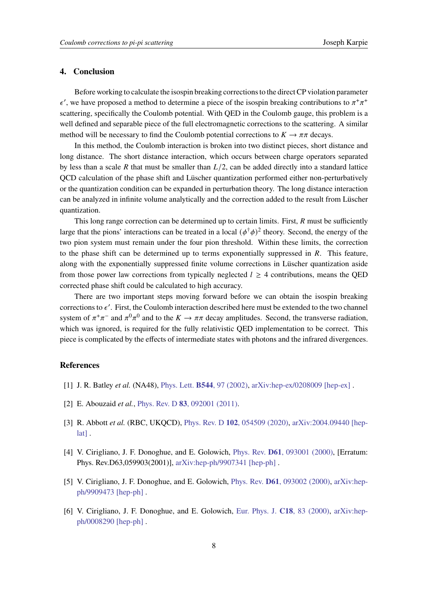## **4. Conclusion**

Before working to calculate the isospin breaking corrections to the direct CP violation parameter  $\epsilon'$ , we have proposed a method to determine a piece of the isospin breaking contributions to  $\pi^+\pi^+$ scattering, specifically the Coulomb potential. With QED in the Coulomb gauge, this problem is a well defined and separable piece of the full electromagnetic corrections to the scattering. A similar method will be necessary to find the Coulomb potential corrections to  $K \to \pi \pi$  decays.

In this method, the Coulomb interaction is broken into two distinct pieces, short distance and long distance. The short distance interaction, which occurs between charge operators separated by less than a scale R that must be smaller than  $L/2$ , can be added directly into a standard lattice QCD calculation of the phase shift and Lüscher quantization performed either non-perturbatively or the quantization condition can be expanded in perturbation theory. The long distance interaction can be analyzed in infinite volume analytically and the correction added to the result from Lüscher quantization.

This long range correction can be determined up to certain limits. First,  $R$  must be sufficiently large that the pions' interactions can be treated in a local  $(\phi^{\dagger} \phi)^2$  theory. Second, the energy of the two pion system must remain under the four pion threshold. Within these limits, the correction to the phase shift can be determined up to terms exponentially suppressed in  $R$ . This feature, along with the exponentially suppressed finite volume corrections in Lüscher quantization aside from those power law corrections from typically neglected  $l \geq 4$  contributions, means the QED corrected phase shift could be calculated to high accuracy.

There are two important steps moving forward before we can obtain the isospin breaking corrections to  $\epsilon'$ . First, the Coulomb interaction described here must be extended to the two channel system of  $\pi^+\pi^-$  and  $\pi^0\pi^0$  and to the  $K \to \pi\pi$  decay amplitudes. Second, the transverse radiation, which was ignored, is required for the fully relativistic QED implementation to be correct. This piece is complicated by the effects of intermediate states with photons and the infrared divergences.

# **References**

- <span id="page-7-0"></span>[1] J. R. Batley *et al.* (NA48), Phys. Lett. **B544**[, 97 \(2002\),](https://doi.org/10.1016/S0370-2693(02)02476-0) [arXiv:hep-ex/0208009 \[hep-ex\]](https://arxiv.org/abs/hep-ex/0208009) .
- <span id="page-7-1"></span>[2] E. Abouzaid *et al.*, Phys. Rev. D **83**[, 092001 \(2011\).](https://doi.org/10.1103/PhysRevD.83.092001)
- <span id="page-7-2"></span>[3] R. Abbott *et al.* (RBC, UKQCD), Phys. Rev. D **102**[, 054509 \(2020\),](https://doi.org/10.1103/PhysRevD.102.054509) [arXiv:2004.09440 \[hep](https://arxiv.org/abs/2004.09440)[lat\]](https://arxiv.org/abs/2004.09440) .
- <span id="page-7-3"></span>[4] V. Cirigliano, J. F. Donoghue, and E. Golowich, Phys. Rev. **D61**[, 093001 \(2000\),](https://doi.org/10.1103/PhysRevD.63.059903, 10.1103/PhysRevD.61.093001) [Erratum: Phys. Rev.D63,059903(2001)], [arXiv:hep-ph/9907341 \[hep-ph\]](https://arxiv.org/abs/hep-ph/9907341) .
- [5] V. Cirigliano, J. F. Donoghue, and E. Golowich, Phys. Rev. **D61**[, 093002 \(2000\),](https://doi.org/10.1103/PhysRevD.61.093002) [arXiv:hep](https://arxiv.org/abs/hep-ph/9909473)[ph/9909473 \[hep-ph\]](https://arxiv.org/abs/hep-ph/9909473) .
- [6] V. Cirigliano, J. F. Donoghue, and E. Golowich, [Eur. Phys. J.](https://doi.org/10.1007/s100520000530) **C18**, 83 (2000), [arXiv:hep](https://arxiv.org/abs/hep-ph/0008290)[ph/0008290 \[hep-ph\]](https://arxiv.org/abs/hep-ph/0008290) .